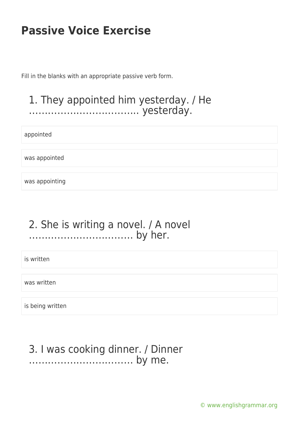Fill in the blanks with an appropriate passive verb form.

#### 1. They appointed him yesterday. / He …………………………….. yesterday.

appointed

was appointed

was appointing

#### 2. She is writing a novel. / A novel …………………………… by her.

is written

was written

is being written

#### 3. I was cooking dinner. / Dinner …………………………… by me.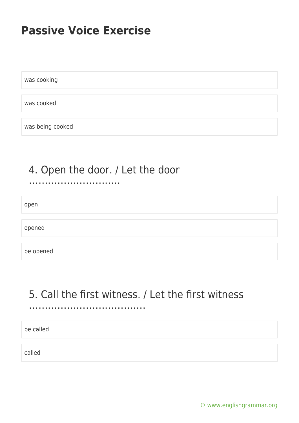was cooking

was cooked

was being cooked

#### 4. Open the door. / Let the door ………………………..

open

opened

be opened

### 5. Call the first witness. / Let the first witness

……………………………….

be called

called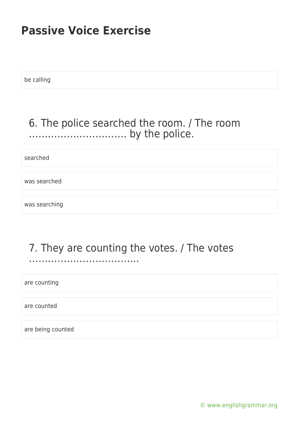be calling

### 6. The police searched the room. / The room …………………………. by the police.

searched

was searched

was searching

### 7. They are counting the votes. / The votes

……………………………..

are counting

are counted

are being counted

[© www.englishgrammar.org](https://www.englishgrammar.org/)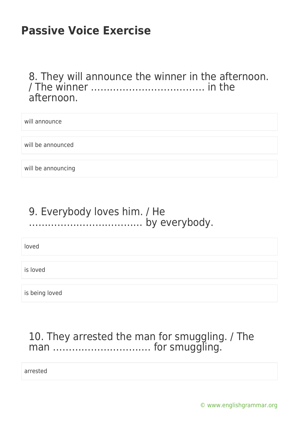8. They will announce the winner in the afternoon. / The winner ……………………………… in the afternoon.

| will announce      |  |
|--------------------|--|
|                    |  |
|                    |  |
| will be announced  |  |
|                    |  |
|                    |  |
| will be announcing |  |

### 9. Everybody loves him. / He ……………………………… by everybody.

loved

is loved

is being loved

### 10. They arrested the man for smuggling. / The man …………………………… for smuggling.

arrested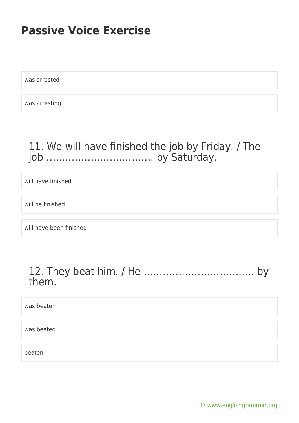was arrested

was arresting

### 11. We will have finished the job by Friday. / The job ……………………………. by Saturday.

will have finished

will be finished

will have been finished

#### 12. They beat him. / He …………………………….. by them.

was beaten

was beated

beaten